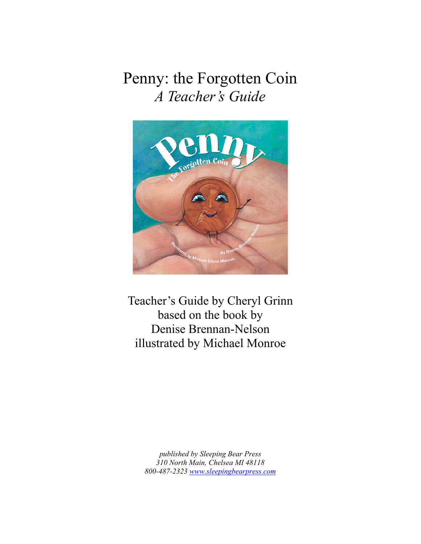Penny: the Forgotten Coin *A Teacher' s Guide* 



Teacher's Guide by Cheryl Grinn based on the book by Denise Brennan-Nelson illustrated by Michael Monroe

> *published by Sleeping Bear Press 310 North Main, Chelsea MI 48118 800-487-2323 [www.sleepingbearpress.com](http://www.sleepingbearpress.com/)*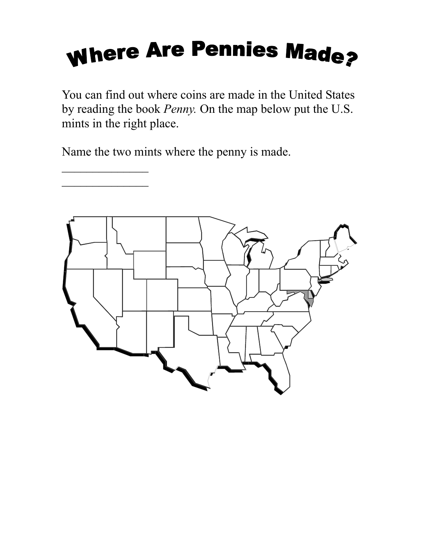## **Where Are Pennies Made?**

You can find out where coins are made in the United States by reading the book *Penny.* On the map below put the U.S. mints in the right place.

Name the two mints where the penny is made.

 $\frac{1}{2}$ 

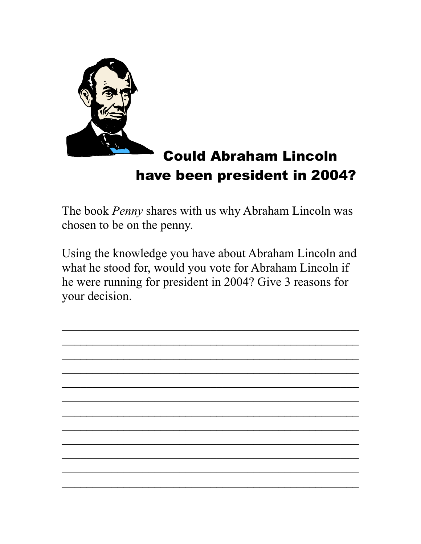

### Could Abraham Lincoln have been president in 2004?

The book *Penny* shares with us why Abraham Lincoln was chosen to be on the penny.

Using the knowledge you have about Abraham Lincoln and what he stood for, would you vote for Abraham Lincoln if he were running for president in 2004? Give 3 reasons for your decision.

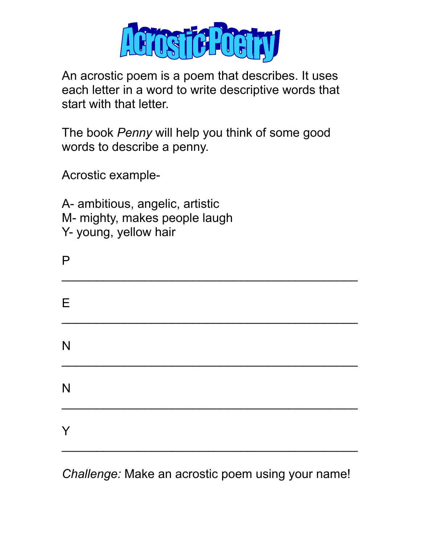

An acrostic poem is a poem that describes. It uses each letter in a word to write descriptive words that start with that letter.

The book *Penny* will help you think of some good words to describe a penny.

Acrostic example-

A- ambitious, angelic, artistic M- mighty, makes people laugh Y- young, yellow hair

P  $\mathcal{L}_\text{max}$  , and the contract of the contract of the contract of the contract of the contract of the contract of the contract of the contract of the contract of the contract of the contract of the contract of the contr E  $\mathcal{L}_\text{max}$  and  $\mathcal{L}_\text{max}$  and  $\mathcal{L}_\text{max}$  and  $\mathcal{L}_\text{max}$  and  $\mathcal{L}_\text{max}$ N  $\mathcal{L}_\text{max}$  , and the contract of the contract of the contract of the contract of the contract of the contract of the contract of the contract of the contract of the contract of the contract of the contract of the contr N  $\mathcal{L}_\text{max}$  and  $\mathcal{L}_\text{max}$  and  $\mathcal{L}_\text{max}$  and  $\mathcal{L}_\text{max}$  and  $\mathcal{L}_\text{max}$ Y  $\mathcal{L}_\text{max}$  , and the contract of the contract of the contract of the contract of the contract of the contract of the contract of the contract of the contract of the contract of the contract of the contract of the contr

*Challenge:* Make an acrostic poem using your name!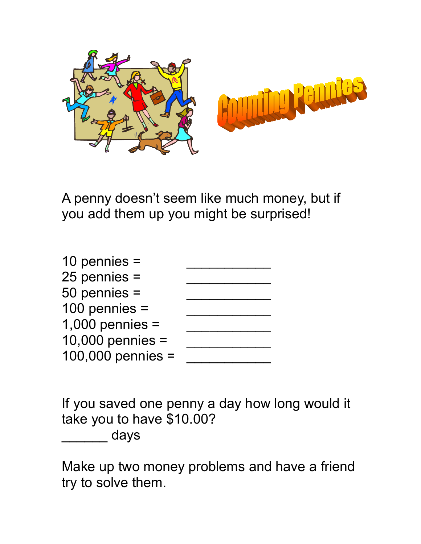

A penny doesn't seem like much money, but if you add them up you might be surprised!

| 10 pennies $=$     |  |
|--------------------|--|
| $25$ pennies =     |  |
| $50$ pennies =     |  |
| 100 pennies $=$    |  |
| $1,000$ pennies =  |  |
| $10,000$ pennies = |  |
| 100,000 pennies =  |  |
|                    |  |

If you saved one penny a day how long would it take you to have \$10.00?

\_\_\_\_\_\_ days

Make up two money problems and have a friend try to solve them.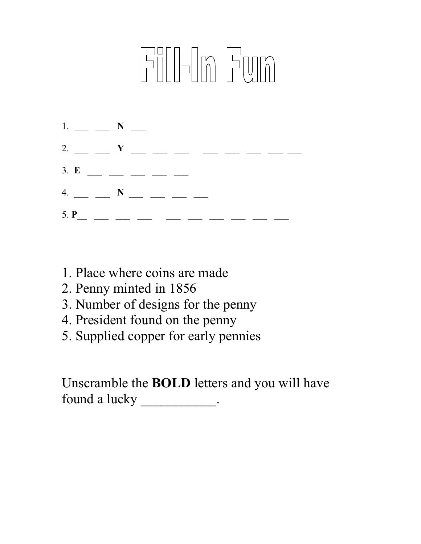# Filleln Fun

| $1.$ $\qquad \qquad$ N $\qquad$ |                                                                                                                                                                                                                                                                                                                                                                       |
|---------------------------------|-----------------------------------------------------------------------------------------------------------------------------------------------------------------------------------------------------------------------------------------------------------------------------------------------------------------------------------------------------------------------|
|                                 | 2. $\frac{1}{\sqrt{2}}$ $\frac{1}{\sqrt{2}}$ $\frac{1}{\sqrt{2}}$ $\frac{1}{\sqrt{2}}$ $\frac{1}{\sqrt{2}}$ $\frac{1}{\sqrt{2}}$ $\frac{1}{\sqrt{2}}$ $\frac{1}{\sqrt{2}}$ $\frac{1}{\sqrt{2}}$ $\frac{1}{\sqrt{2}}$ $\frac{1}{\sqrt{2}}$ $\frac{1}{\sqrt{2}}$ $\frac{1}{\sqrt{2}}$ $\frac{1}{\sqrt{2}}$ $\frac{1}{\sqrt{2}}$ $\frac{1}{\sqrt{2}}$ $\frac{1}{\sqrt{2$ |
|                                 | 3. E __ __ __ __ __                                                                                                                                                                                                                                                                                                                                                   |
|                                 | 4. __ __ N __ __ __ __                                                                                                                                                                                                                                                                                                                                                |
| 5. $P$                          |                                                                                                                                                                                                                                                                                                                                                                       |

- 1. Place where coins are made
- 2. Penny minted in 1856
- 3. Number of designs for the penny
- 4. President found on the penny
- 5. Supplied copper for early pennies

Unscramble the **BOLD** letters and you will have found a lucky \_\_\_\_\_\_\_\_\_\_\_.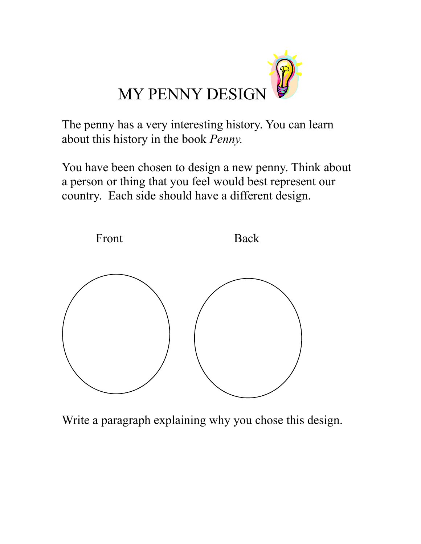

The penny has a very interesting history. You can learn about this history in the book *Penny.*

You have been chosen to design a new penny. Think about a person or thing that you feel would best represent our country. Each side should have a different design.



Write a paragraph explaining why you chose this design.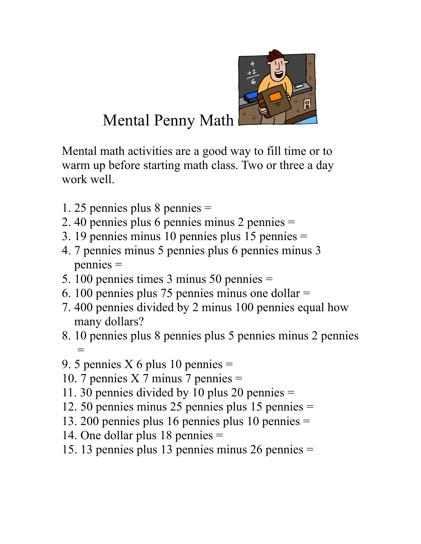

## Mental Penny Math

Mental math activities are a good way to fill time or to warm up before starting math class. Two or three a day work well

- 1. 25 pennies plus 8 pennies =
- 2. 40 pennies plus 6 pennies minus 2 pennies =
- 3. 19 pennies minus 10 pennies plus 15 pennies =
- 4. 7 pennies minus 5 pennies plus 6 pennies minus 3 pennies =
- 5. 100 pennies times 3 minus 50 pennies =
- 6. 100 pennies plus 75 pennies minus one dollar =
- 7. 400 pennies divided by 2 minus 100 pennies equal how many dollars?
- 8. 10 pennies plus 8 pennies plus 5 pennies minus 2 pennies =
- 9. 5 pennies  $X$  6 plus 10 pennies =
- 10. 7 pennies X 7 minus 7 pennies  $=$
- 11. 30 pennies divided by 10 plus 20 pennies =
- 12. 50 pennies minus 25 pennies plus 15 pennies =
- 13. 200 pennies plus 16 pennies plus 10 pennies =
- 14. One dollar plus 18 pennies =
- 15. 13 pennies plus 13 pennies minus 26 pennies =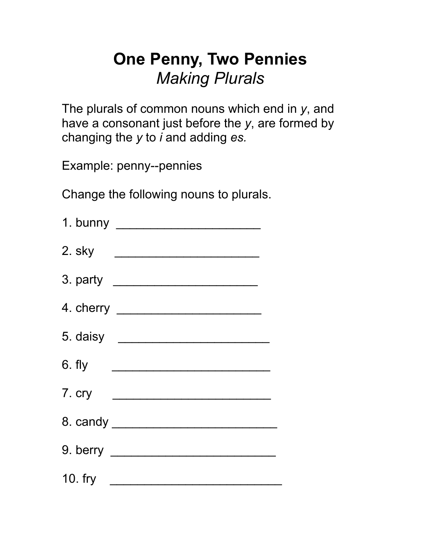## **One Penny, Two Pennies**  *Making Plurals*

The plurals of common nouns which end in *y*, and have a consonant just before the *y*, are formed by changing the *y* to *i* and adding *es.* 

Example: penny--pennies

Change the following nouns to plurals.

| 2. sky |                        |  |
|--------|------------------------|--|
|        | 3. party               |  |
|        |                        |  |
|        | 5. daisy               |  |
|        | 6. fly $\qquad \qquad$ |  |
|        |                        |  |
|        |                        |  |
|        |                        |  |
|        |                        |  |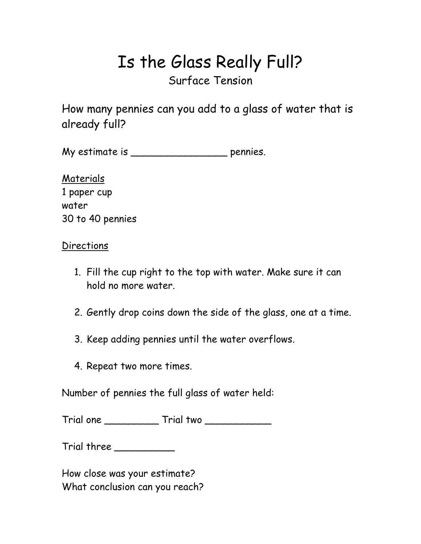## Is the Glass Really Full?

Surface Tension

How many pennies can you add to a glass of water that is already full?

My estimate is \_\_\_\_\_\_\_\_\_\_\_\_\_\_\_\_ pennies.

**Materials** 1 paper cup water 30 to 40 pennies

#### **Directions**

- 1. Fill the cup right to the top with water. Make sure it can hold no more water.
- 2. Gently drop coins down the side of the glass, one at a time.
- 3. Keep adding pennies until the water overflows.
- 4. Repeat two more times.

Number of pennies the full glass of water held:

Trial one \_\_\_\_\_\_\_\_\_ Trial two \_\_\_\_\_\_\_\_\_\_\_

Trial three \_\_\_\_\_\_\_\_\_\_

How close was your estimate? What conclusion can you reach?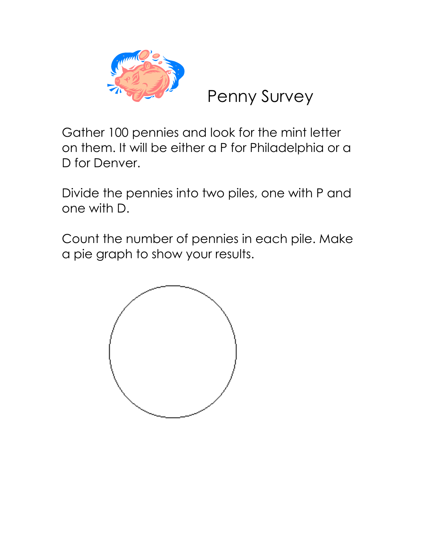

Penny Survey

Gather 100 pennies and look for the mint letter on them. It will be either a P for Philadelphia or a D for Denver.

Divide the pennies into two piles, one with P and one with D.

Count the number of pennies in each pile. Make a pie graph to show your results.

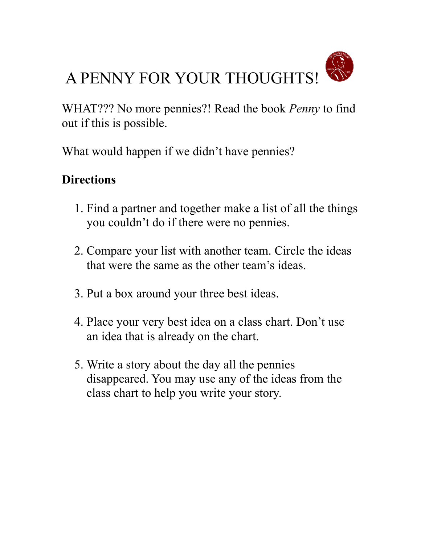

WHAT??? No more pennies?! Read the book *Penny* to find out if this is possible.

What would happen if we didn't have pennies?

#### **Directions**

- 1. Find a partner and together make a list of all the things you couldn't do if there were no pennies.
- 2. Compare your list with another team. Circle the ideas that were the same as the other team's ideas.
- 3. Put a box around your three best ideas.
- 4. Place your very best idea on a class chart. Don't use an idea that is already on the chart.
- 5. Write a story about the day all the pennies disappeared. You may use any of the ideas from the class chart to help you write your story.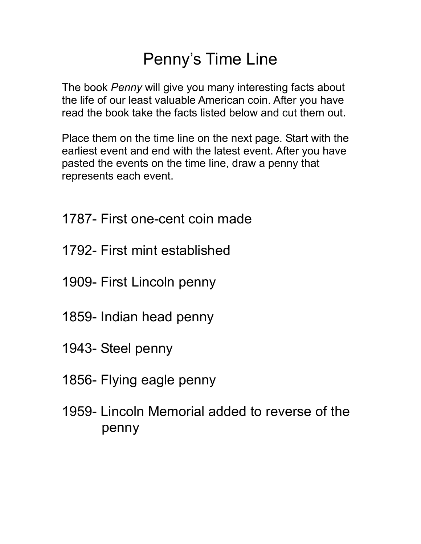## Penny's Time Line

The book *Penny* will give you many interesting facts about the life of our least valuable American coin. After you have read the book take the facts listed below and cut them out.

Place them on the time line on the next page. Start with the earliest event and end with the latest event. After you have pasted the events on the time line, draw a penny that represents each event.

- 1787- First one-cent coin made
- 1792- First mint established
- 1909- First Lincoln penny
- 1859- Indian head penny
- 1943- Steel penny
- 1856- Flying eagle penny
- 1959- Lincoln Memorial added to reverse of the penny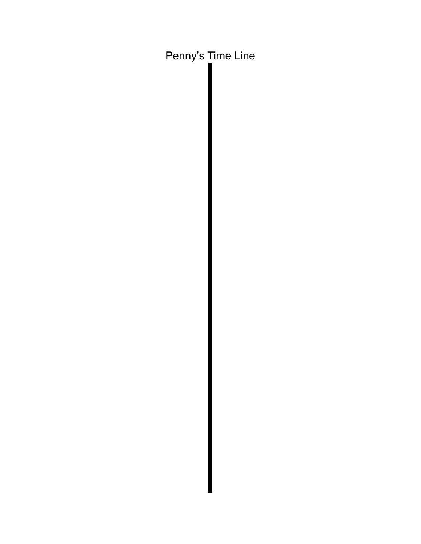Penny's Time Line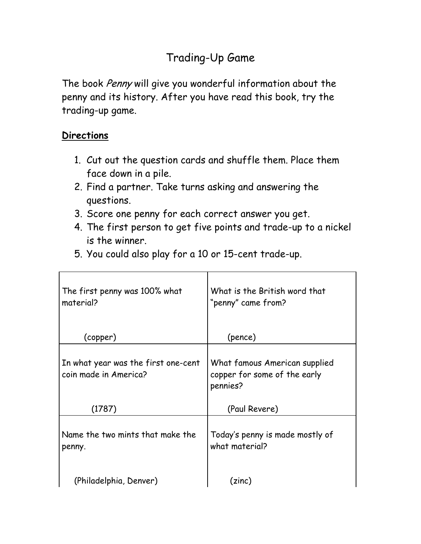#### Trading-Up Game

The book Penny will give you wonderful information about the penny and its history. After you have read this book, try the trading-up game.

#### **Directions**

- 1. Cut out the question cards and shuffle them. Place them face down in a pile.
- 2. Find a partner. Take turns asking and answering the questions.
- 3. Score one penny for each correct answer you get.
- 4. The first person to get five points and trade-up to a nickel is the winner.
- 5. You could also play for a 10 or 15-cent trade-up.

| The first penny was 100% what<br>material?                   | What is the British word that<br>"penny" came from?                       |
|--------------------------------------------------------------|---------------------------------------------------------------------------|
| (copper)                                                     | (pence)                                                                   |
| In what year was the first one-cent<br>coin made in America? | What famous American supplied<br>copper for some of the early<br>pennies? |
| (1787)                                                       | (Paul Revere)                                                             |
| Name the two mints that make the<br>penny.                   | Today's penny is made mostly of<br>what material?                         |
| (Philadelphia, Denver)                                       | (zinc)                                                                    |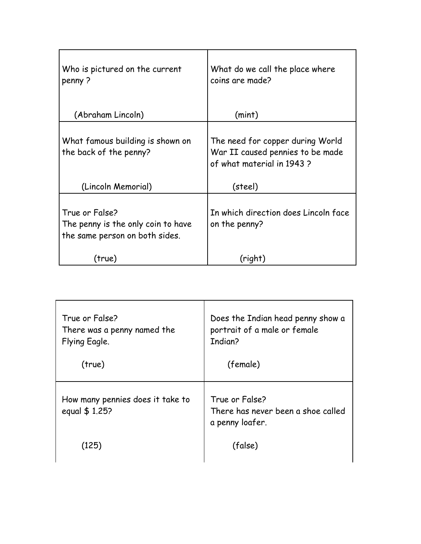| Who is pictured on the current<br>penny?                                               | What do we call the place where<br>coins are made?                                                |
|----------------------------------------------------------------------------------------|---------------------------------------------------------------------------------------------------|
| (Abraham Lincoln)                                                                      | (min)                                                                                             |
| What famous building is shown on<br>the back of the penny?                             | The need for copper during World<br>War II caused pennies to be made<br>of what material in 1943? |
| (Lincoln Memorial)                                                                     | (steel)                                                                                           |
| True or False?<br>The penny is the only coin to have<br>the same person on both sides. | In which direction does Lincoln face<br>on the penny?                                             |
| (true)                                                                                 | (right)                                                                                           |

| True or False?<br>There was a penny named the<br>Flying Eagle.<br>(true) | Does the Indian head penny show a<br>portrait of a male or female<br>Indian?<br>(female) |
|--------------------------------------------------------------------------|------------------------------------------------------------------------------------------|
| How many pennies does it take to<br>equal \$ 1.25?                       | True or False?<br>There has never been a shoe called<br>a penny loafer.                  |
| (125)                                                                    | (false)                                                                                  |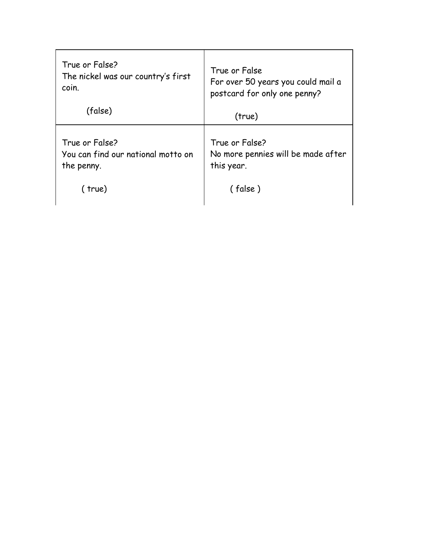| True or False?                     | True or False                      |
|------------------------------------|------------------------------------|
| The nickel was our country's first | For over 50 years you could mail a |
| coin.                              | postcard for only one penny?       |
| (false)                            | (true)                             |
| True or False?                     | True or False?                     |
| You can find our national motto on | No more pennies will be made after |
| the penny.                         | this year.                         |
| (true)                             | (false)                            |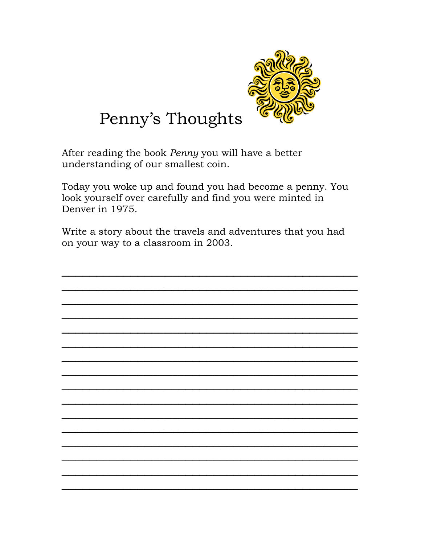

## Penny's Thoughts

After reading the book Penny you will have a better understanding of our smallest coin.

Today you woke up and found you had become a penny. You look yourself over carefully and find you were minted in Denver in 1975.

Write a story about the travels and adventures that you had on your way to a classroom in 2003.

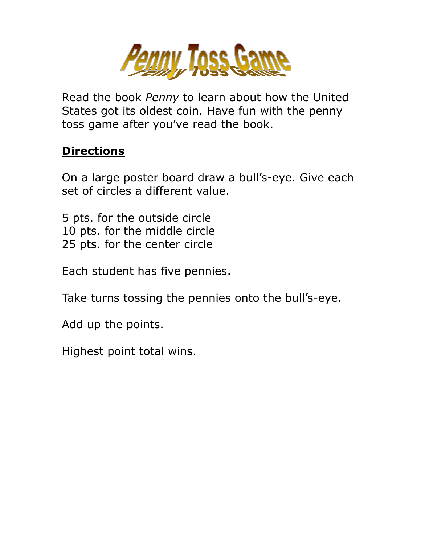

Read the book *Penny* to learn about how the United States got its oldest coin. Have fun with the penny toss game after you've read the book.

#### **Directions**

On a large poster board draw a bull's-eye. Give each set of circles a different value.

5 pts. for the outside circle 10 pts. for the middle circle 25 pts. for the center circle

Each student has five pennies.

Take turns tossing the pennies onto the bull's-eye.

Add up the points.

Highest point total wins.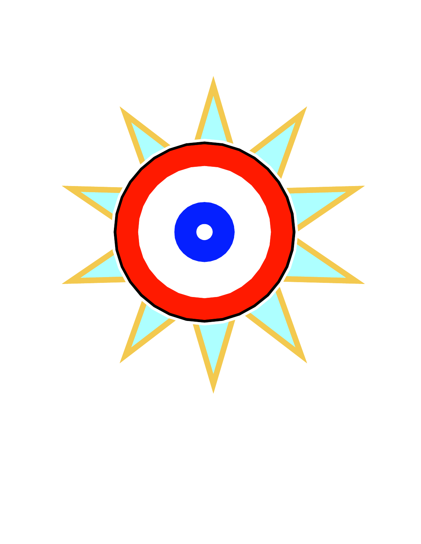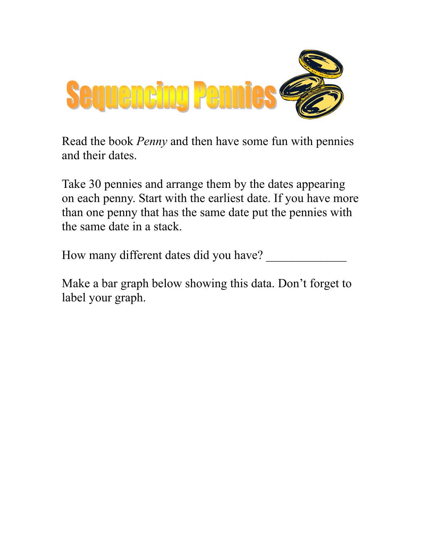

Read the book *Penny* and then have some fun with pennies and their dates.

Take 30 pennies and arrange them by the dates appearing on each penny. Start with the earliest date. If you have more than one penny that has the same date put the pennies with the same date in a stack.

How many different dates did you have? \_\_\_\_\_\_\_\_\_\_\_\_\_

Make a bar graph below showing this data. Don't forget to label your graph.